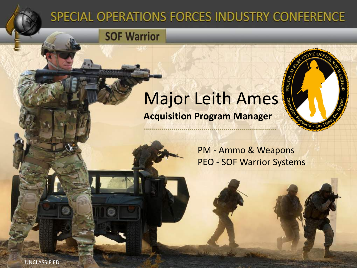#### SPECIAL OPERATIONS FORCES INDUSTRY CONFERENCE

**SOF Warrior** 

#### Major Leith Ames **Acquisition Program Manager**



PM - Ammo & Weapons PEO - SOF Warrior Systems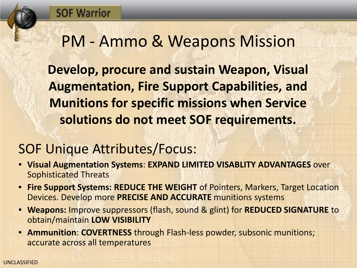#### PM - Ammo & Weapons Mission

**Develop, procure and sustain Weapon, Visual Augmentation, Fire Support Capabilities, and Munitions for specific missions when Service solutions do not meet SOF requirements.**

#### SOF Unique Attributes/Focus:

- **Visual Augmentation Systems**: **EXPAND LIMITED VISABLITY ADVANTAGES** over Sophisticated Threats
- **Fire Support Systems: REDUCE THE WEIGHT** of Pointers, Markers, Target Location Devices. Develop more **PRECISE AND ACCURATE** munitions systems
- **Weapons:** Improve suppressors (flash, sound & glint) for **REDUCED SIGNATURE** to obtain/maintain **LOW VISIBILITY**
- **Ammunition**: **COVERTNESS** through Flash-less powder, subsonic munitions; accurate across all temperatures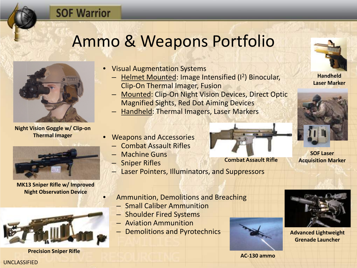## Ammo & Weapons Portfolio



**SOF Warrior** 

**Night Vision Goggle w/ Clip-on Thermal Imager**



**MK13 Sniper Rifle w/ Improved Night Observation Device**



**AC-130 ammo Precision Sniper Rifle**

- Visual Augmentation Systems
	- Helmet Mounted: Image Intensified (I2) Binocular, Clip-On Thermal Imager, Fusion
	- Mounted: Clip-On Night Vision Devices, Direct Optic Magnified Sights, Red Dot Aiming Devices
	- Handheld: Thermal Imagers, Laser Markers
- Weapons and Accessories
	- Combat Assault Rifles
	- Machine Guns
	- Sniper Rifles
	- Laser Pointers, Illuminators, and Suppressors



**Handheld Laser Marker**



**SOF Laser** 



**Combat Assault Rifle Acquisition Marker**

- Ammunition, Demolitions and Breaching
	- Small Caliber Ammunition
	- Shoulder Fired Systems
	- Aviation Ammunition
	- Demolitions and Pyrotechnics





**Advanced Lightweight Grenade Launcher**

#### UNCLASSIFIED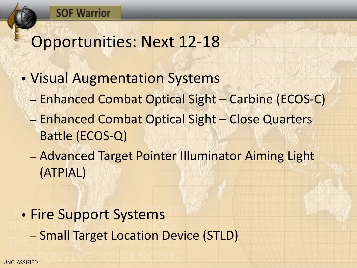## Opportunities: Next 12-18

- Visual Augmentation Systems
	- Enhanced Combat Optical Sight Carbine (ECOS-C)
	- Enhanced Combat Optical Sight Close Quarters Battle (ECOS-Q)
	- Advanced Target Pointer Illuminator Aiming Light (ATPIAL)
- Fire Support Systems – Small Target Location Device (STLD)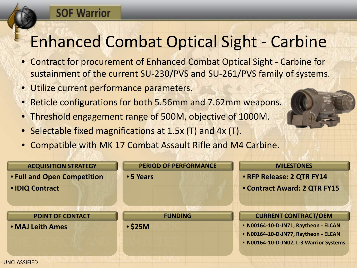# Enhanced Combat Optical Sight - Carbine

- Contract for procurement of Enhanced Combat Optical Sight Carbine for sustainment of the current SU-230/PVS and SU-261/PVS family of systems.
- Utilize current performance parameters.

**SOF Warrior** 

- Reticle configurations for both 5.56mm and 7.62mm weapons.
- Threshold engagement range of 500M, objective of 1000M.
- Selectable fixed magnifications at 1.5x (T) and 4x (T).
- Compatible with MK 17 Combat Assault Rifle and M4 Carbine.

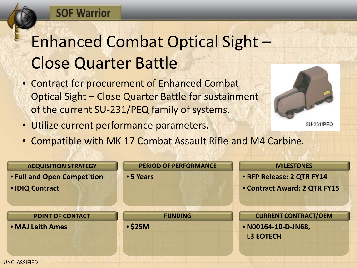#### **SOF Warrior**

# Enhanced Combat Optical Sight – Close Quarter Battle

- Contract for procurement of Enhanced Combat Optical Sight – Close Quarter Battle for sustainment of the current SU-231/PEQ family of systems.
- Utilize current performance parameters.



**SU-231/PEQ** 

• Compatible with MK 17 Combat Assault Rifle and M4 Carbine.

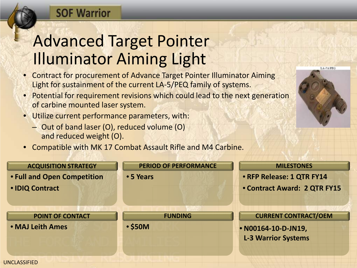#### **SOF Warrior**

## Advanced Target Pointer Illuminator Aiming Light

- Contract for procurement of Advance Target Pointer Illuminator Aiming Light for sustainment of the current LA-5/PEQ family of systems.
- Potential for requirement revisions which could lead to the next generation of carbine mounted laser system.
- Utilize current performance parameters, with:
	- Out of band laser (O), reduced volume (O) and reduced weight (O).
- Compatible with MK 17 Combat Assault Rifle and M4 Carbine.



LA-5A/PEO